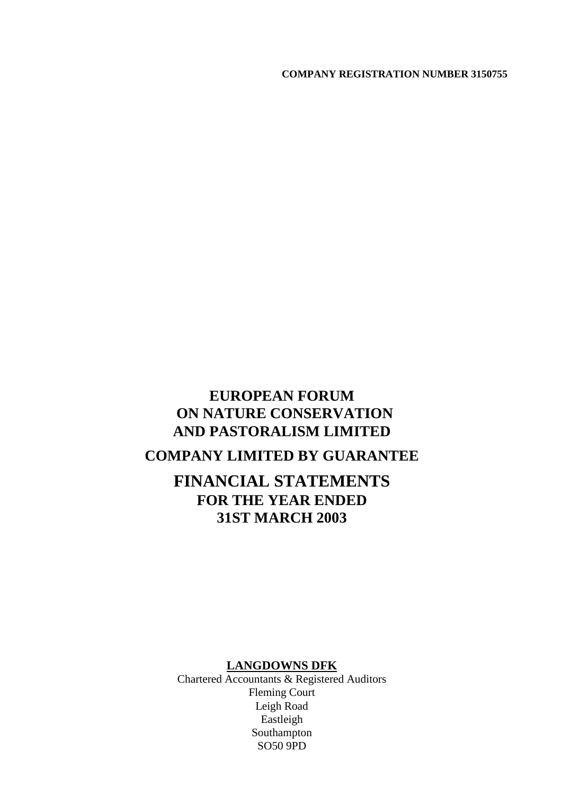**COMPANY REGISTRATION NUMBER 3150755**

# **EUROPEAN FORUM ON NATURE CONSERVATION AND PASTORALISM LIMITED**

# **COMPANY LIMITED BY GUARANTEE**

# **FINANCIAL STATEMENTS FOR THE YEAR ENDED 31ST MARCH 2003**

#### **LANGDOWNS DFK**

Chartered Accountants & Registered Auditors Fleming Court Leigh Road Eastleigh Southampton SO50 9PD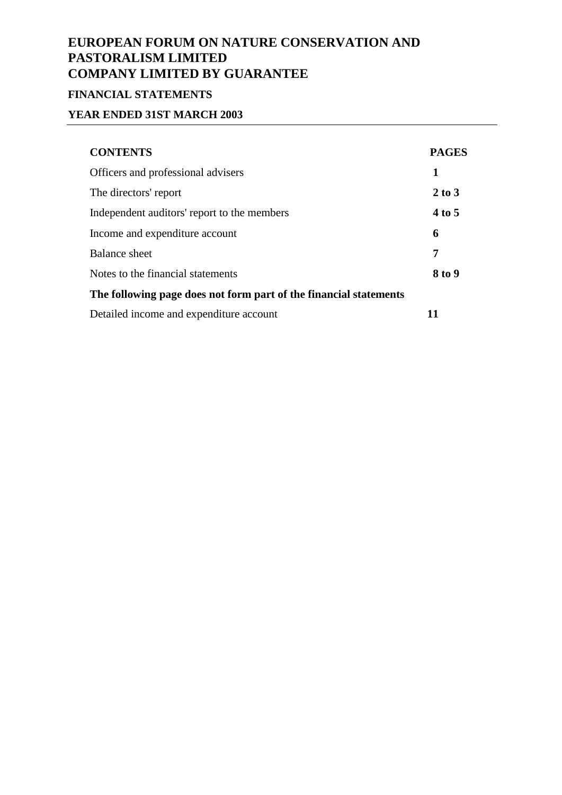## **FINANCIAL STATEMENTS**

## **YEAR ENDED 31ST MARCH 2003**

| <b>CONTENTS</b>                                                   | <b>PAGES</b> |
|-------------------------------------------------------------------|--------------|
| Officers and professional advisers                                | 1            |
| The directors' report                                             | $2$ to $3$   |
| Independent auditors' report to the members                       | 4 to 5       |
| Income and expenditure account                                    | 6            |
| Balance sheet                                                     | 7            |
| Notes to the financial statements                                 | 8 to 9       |
| The following page does not form part of the financial statements |              |
| Detailed income and expenditure account                           | 11           |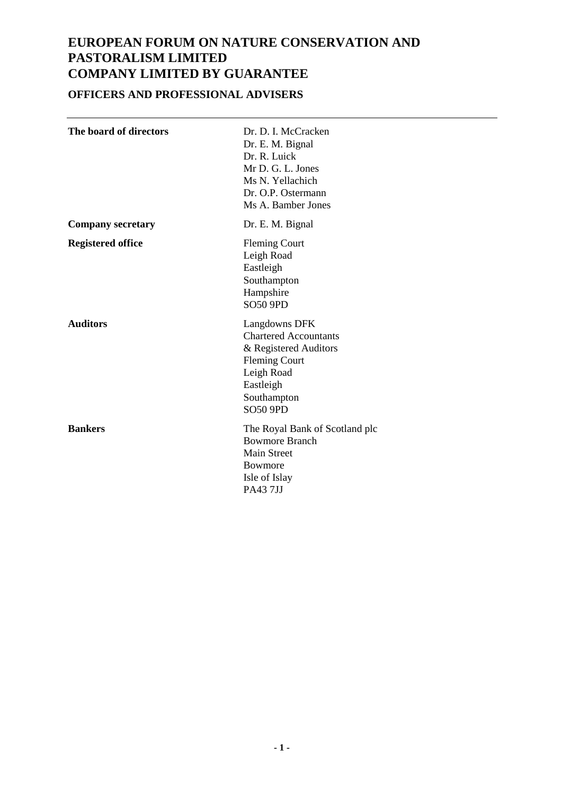## **OFFICERS AND PROFESSIONAL ADVISERS**

| The board of directors   | Dr. D. I. McCracken<br>Dr. E. M. Bignal<br>Dr. R. Luick<br>Mr D. G. L. Jones<br>Ms N. Yellachich<br>Dr. O.P. Ostermann<br>Ms A. Bamber Jones                |
|--------------------------|-------------------------------------------------------------------------------------------------------------------------------------------------------------|
| <b>Company secretary</b> | Dr. E. M. Bignal                                                                                                                                            |
| <b>Registered office</b> | <b>Fleming Court</b><br>Leigh Road<br>Eastleigh<br>Southampton<br>Hampshire<br><b>SO50 9PD</b>                                                              |
| <b>Auditors</b>          | Langdowns DFK<br><b>Chartered Accountants</b><br>& Registered Auditors<br><b>Fleming Court</b><br>Leigh Road<br>Eastleigh<br>Southampton<br><b>SO50 9PD</b> |
| <b>Bankers</b>           | The Royal Bank of Scotland plc<br><b>Bowmore Branch</b><br>Main Street<br>Bowmore<br>Isle of Islay<br><b>PA437JJ</b>                                        |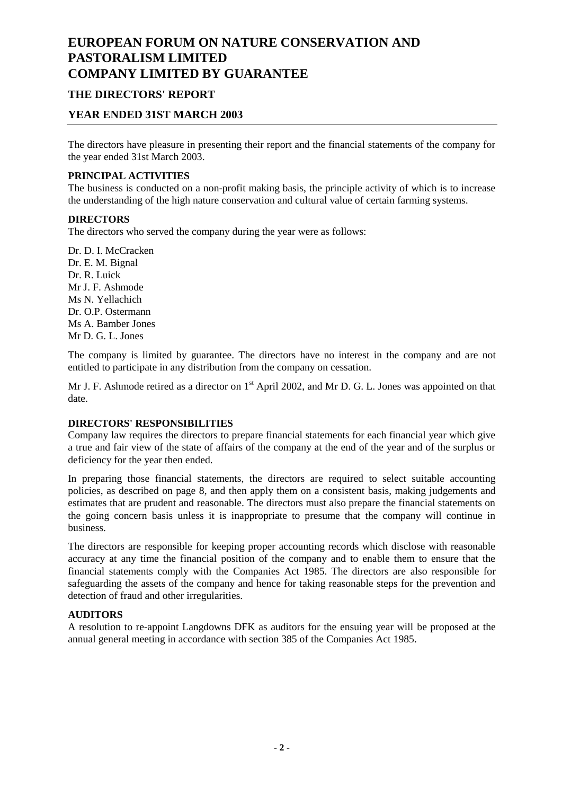### **THE DIRECTORS' REPORT**

## **YEAR ENDED 31ST MARCH 2003**

The directors have pleasure in presenting their report and the financial statements of the company for the year ended 31st March 2003.

### **PRINCIPAL ACTIVITIES**

The business is conducted on a non-profit making basis, the principle activity of which is to increase the understanding of the high nature conservation and cultural value of certain farming systems.

#### **DIRECTORS**

The directors who served the company during the year were as follows:

Dr. D. I. McCracken Dr. E. M. Bignal Dr. R. Luick Mr J. F. Ashmode Ms N. Yellachich Dr. O.P. Ostermann Ms A. Bamber Jones Mr D. G. L. Jones

The company is limited by guarantee. The directors have no interest in the company and are not entitled to participate in any distribution from the company on cessation.

Mr J. F. Ashmode retired as a director on 1<sup>st</sup> April 2002, and Mr D. G. L. Jones was appointed on that date.

### **DIRECTORS' RESPONSIBILITIES**

Company law requires the directors to prepare financial statements for each financial year which give a true and fair view of the state of affairs of the company at the end of the year and of the surplus or deficiency for the year then ended.

In preparing those financial statements, the directors are required to select suitable accounting policies, as described on page 8, and then apply them on a consistent basis, making judgements and estimates that are prudent and reasonable. The directors must also prepare the financial statements on the going concern basis unless it is inappropriate to presume that the company will continue in business.

The directors are responsible for keeping proper accounting records which disclose with reasonable accuracy at any time the financial position of the company and to enable them to ensure that the financial statements comply with the Companies Act 1985. The directors are also responsible for safeguarding the assets of the company and hence for taking reasonable steps for the prevention and detection of fraud and other irregularities.

#### **AUDITORS**

A resolution to re-appoint Langdowns DFK as auditors for the ensuing year will be proposed at the annual general meeting in accordance with section 385 of the Companies Act 1985.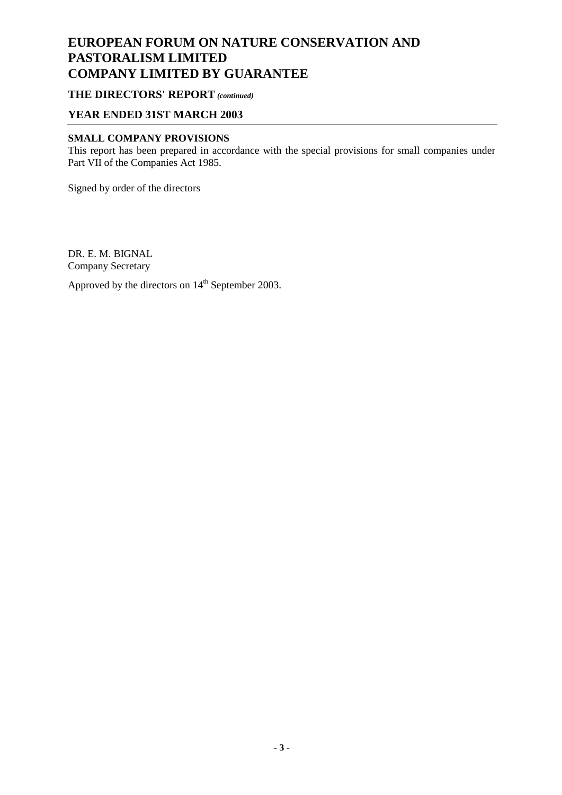## **THE DIRECTORS' REPORT** *(continued)*

## **YEAR ENDED 31ST MARCH 2003**

### **SMALL COMPANY PROVISIONS**

This report has been prepared in accordance with the special provisions for small companies under Part VII of the Companies Act 1985.

Signed by order of the directors

DR. E. M. BIGNAL Company Secretary

Approved by the directors on  $14<sup>th</sup>$  September 2003.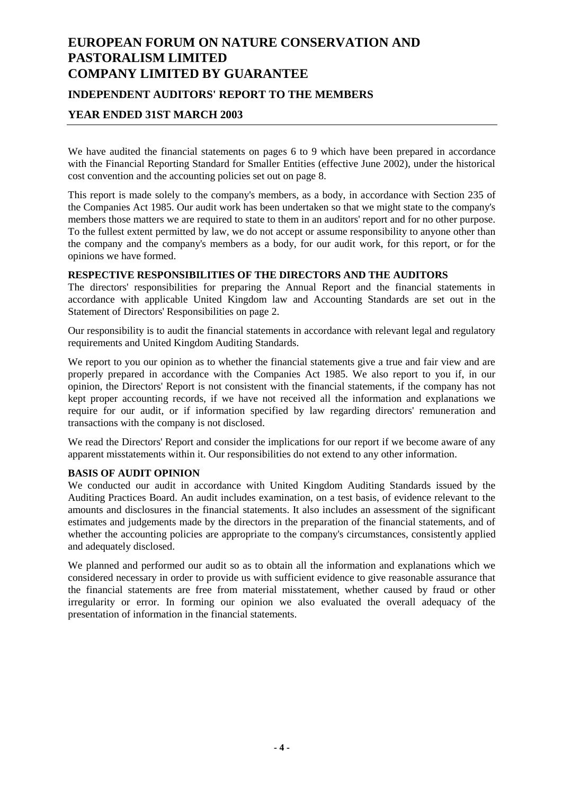### **INDEPENDENT AUDITORS' REPORT TO THE MEMBERS**

### **YEAR ENDED 31ST MARCH 2003**

We have audited the financial statements on pages 6 to 9 which have been prepared in accordance with the Financial Reporting Standard for Smaller Entities (effective June 2002), under the historical cost convention and the accounting policies set out on page 8.

This report is made solely to the company's members, as a body, in accordance with Section 235 of the Companies Act 1985. Our audit work has been undertaken so that we might state to the company's members those matters we are required to state to them in an auditors' report and for no other purpose. To the fullest extent permitted by law, we do not accept or assume responsibility to anyone other than the company and the company's members as a body, for our audit work, for this report, or for the opinions we have formed.

#### **RESPECTIVE RESPONSIBILITIES OF THE DIRECTORS AND THE AUDITORS**

The directors' responsibilities for preparing the Annual Report and the financial statements in accordance with applicable United Kingdom law and Accounting Standards are set out in the Statement of Directors' Responsibilities on page 2.

Our responsibility is to audit the financial statements in accordance with relevant legal and regulatory requirements and United Kingdom Auditing Standards.

We report to you our opinion as to whether the financial statements give a true and fair view and are properly prepared in accordance with the Companies Act 1985. We also report to you if, in our opinion, the Directors' Report is not consistent with the financial statements, if the company has not kept proper accounting records, if we have not received all the information and explanations we require for our audit, or if information specified by law regarding directors' remuneration and transactions with the company is not disclosed.

We read the Directors' Report and consider the implications for our report if we become aware of any apparent misstatements within it. Our responsibilities do not extend to any other information.

#### **BASIS OF AUDIT OPINION**

We conducted our audit in accordance with United Kingdom Auditing Standards issued by the Auditing Practices Board. An audit includes examination, on a test basis, of evidence relevant to the amounts and disclosures in the financial statements. It also includes an assessment of the significant estimates and judgements made by the directors in the preparation of the financial statements, and of whether the accounting policies are appropriate to the company's circumstances, consistently applied and adequately disclosed.

We planned and performed our audit so as to obtain all the information and explanations which we considered necessary in order to provide us with sufficient evidence to give reasonable assurance that the financial statements are free from material misstatement, whether caused by fraud or other irregularity or error. In forming our opinion we also evaluated the overall adequacy of the presentation of information in the financial statements.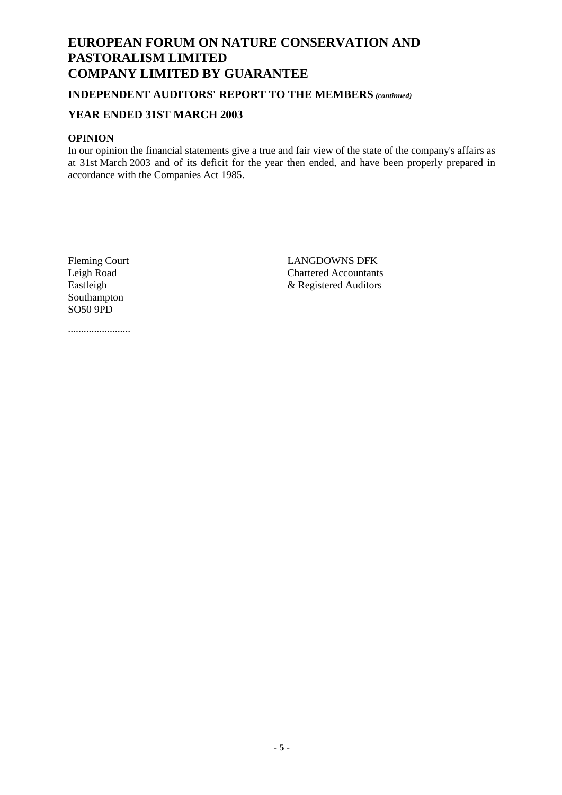### **INDEPENDENT AUDITORS' REPORT TO THE MEMBERS** *(continued)*

### **YEAR ENDED 31ST MARCH 2003**

#### **OPINION**

In our opinion the financial statements give a true and fair view of the state of the company's affairs as at 31st March 2003 and of its deficit for the year then ended, and have been properly prepared in accordance with the Companies Act 1985.

Southampton SO50 9PD

Fleming Court LANGDOWNS DFK<br>Leigh Road Chartered Accountant **Chartered Accountants** Eastleigh  $\&$  Registered Auditors

........................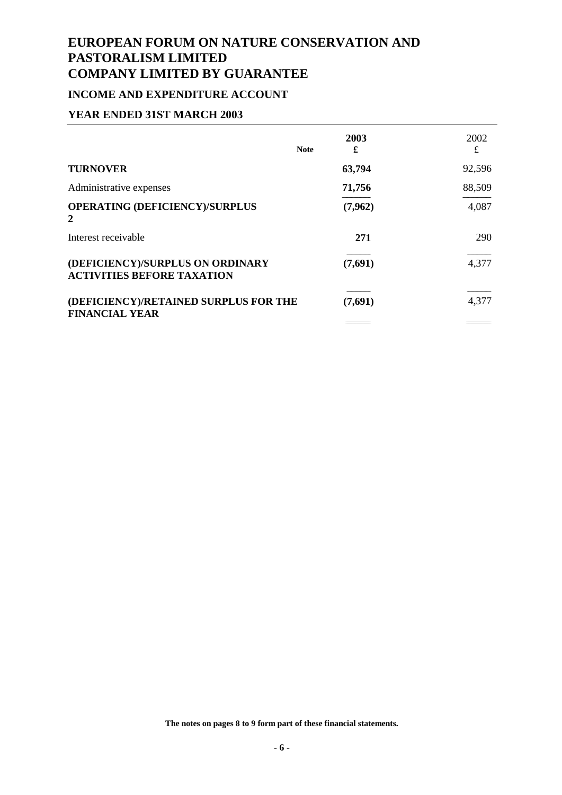### **INCOME AND EXPENDITURE ACCOUNT**

## **YEAR ENDED 31ST MARCH 2003**

|                                                                       | 2003<br><b>Note</b><br>£ | 2002<br>£ |
|-----------------------------------------------------------------------|--------------------------|-----------|
| <b>TURNOVER</b>                                                       | 63,794                   | 92,596    |
| Administrative expenses                                               | 71,756                   | 88,509    |
| <b>OPERATING (DEFICIENCY)/SURPLUS</b><br>2                            | (7,962)                  | 4,087     |
| Interest receivable                                                   | 271                      | 290       |
| (DEFICIENCY)/SURPLUS ON ORDINARY<br><b>ACTIVITIES BEFORE TAXATION</b> | (7,691)                  | 4,377     |
| (DEFICIENCY)/RETAINED SURPLUS FOR THE<br><b>FINANCIAL YEAR</b>        | (7,691)                  | 4,377     |
|                                                                       |                          |           |

**The notes on pages 8 to 9 form part of these financial statements.**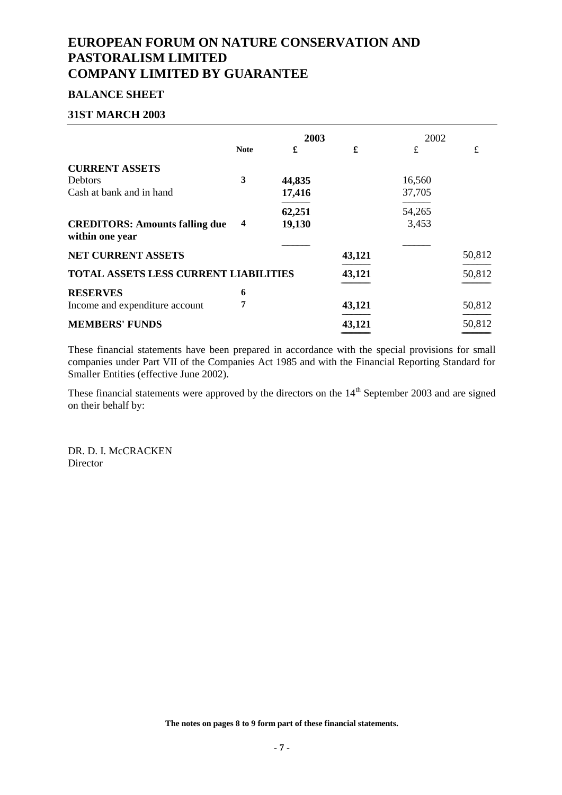### **BALANCE SHEET**

### **31ST MARCH 2003**

|                                                          |             | 2003   |        | 2002   |           |
|----------------------------------------------------------|-------------|--------|--------|--------|-----------|
|                                                          | <b>Note</b> | £      | £      | £      | $\pounds$ |
| <b>CURRENT ASSETS</b>                                    |             |        |        |        |           |
| <b>Debtors</b>                                           | 3           | 44,835 |        | 16,560 |           |
| Cash at bank and in hand                                 |             | 17,416 |        | 37,705 |           |
|                                                          |             | 62,251 |        | 54,265 |           |
| <b>CREDITORS: Amounts falling due</b><br>within one year | 4           | 19,130 |        | 3,453  |           |
| NET CURRENT ASSETS                                       |             |        | 43,121 |        | 50,812    |
| <b>TOTAL ASSETS LESS CURRENT LIABILITIES</b>             |             |        | 43,121 |        | 50,812    |
| <b>RESERVES</b>                                          | 6           |        |        |        |           |
| Income and expenditure account                           | 7           |        | 43,121 |        | 50,812    |
| <b>MEMBERS' FUNDS</b>                                    |             |        | 43,121 |        | 50,812    |
|                                                          |             |        |        |        |           |

These financial statements have been prepared in accordance with the special provisions for small companies under Part VII of the Companies Act 1985 and with the Financial Reporting Standard for Smaller Entities (effective June 2002).

These financial statements were approved by the directors on the  $14<sup>th</sup>$  September 2003 and are signed on their behalf by:

DR. D. I. McCRACKEN Director

**The notes on pages 8 to 9 form part of these financial statements.**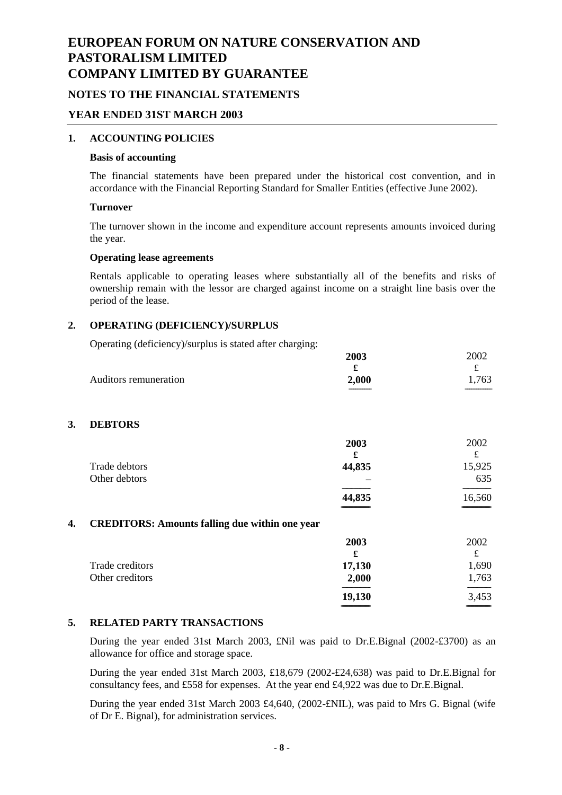### **NOTES TO THE FINANCIAL STATEMENTS**

### **YEAR ENDED 31ST MARCH 2003**

#### **1. ACCOUNTING POLICIES**

#### **Basis of accounting**

The financial statements have been prepared under the historical cost convention, and in accordance with the Financial Reporting Standard for Smaller Entities (effective June 2002).

#### **Turnover**

The turnover shown in the income and expenditure account represents amounts invoiced during the year.

#### **Operating lease agreements**

Rentals applicable to operating leases where substantially all of the benefits and risks of ownership remain with the lessor are charged against income on a straight line basis over the period of the lease.

#### **2. OPERATING (DEFICIENCY)/SURPLUS**

Operating (deficiency)/surplus is stated after charging:

|                       | 2003            | 2002               |
|-----------------------|-----------------|--------------------|
|                       |                 | ÷                  |
| Auditors remuneration | 2,000           | .763               |
|                       | _______________ | __________________ |

#### **3. DEBTORS**

|               | 2003   | 2002   |
|---------------|--------|--------|
|               | £      |        |
| Trade debtors | 44,835 | 15,925 |
| Other debtors |        | 635    |
|               | 44,835 | 16,560 |

=============================== ===============================

### **4. CREDITORS: Amounts falling due within one year**

|                 | 2003   | 2002                                          |
|-----------------|--------|-----------------------------------------------|
|                 | £      | £                                             |
| Trade creditors | 17,130 | 1,690                                         |
| Other creditors | 2,000  | 1,763                                         |
|                 | 19,130 | 3,453                                         |
|                 |        | $\qquad \qquad \overbrace{\qquad \qquad }^{}$ |

#### **5. RELATED PARTY TRANSACTIONS**

During the year ended 31st March 2003, £Nil was paid to Dr.E.Bignal (2002-£3700) as an allowance for office and storage space.

During the year ended 31st March 2003, £18,679 (2002-£24,638) was paid to Dr.E.Bignal for consultancy fees, and £558 for expenses. At the year end £4,922 was due to Dr.E.Bignal.

During the year ended 31st March 2003 £4,640, (2002-£NIL), was paid to Mrs G. Bignal (wife of Dr E. Bignal), for administration services.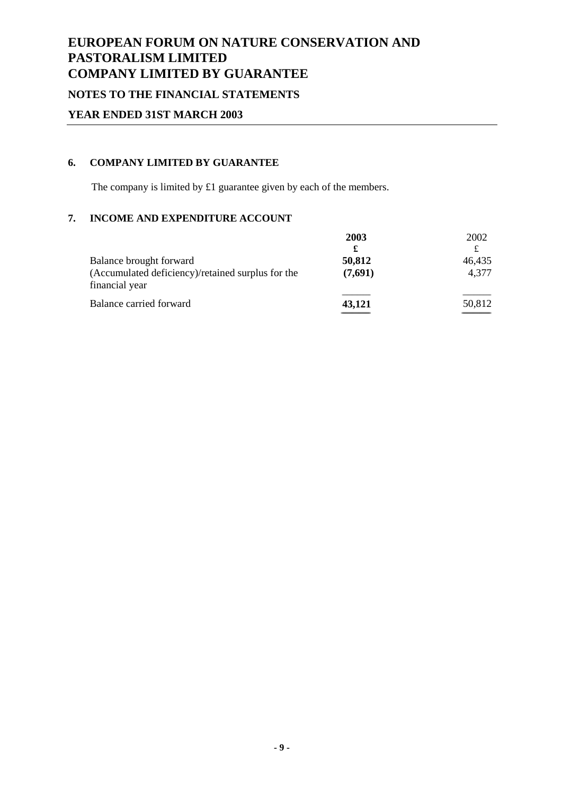## **NOTES TO THE FINANCIAL STATEMENTS**

## **YEAR ENDED 31ST MARCH 2003**

## **6. COMPANY LIMITED BY GUARANTEE**

The company is limited by £1 guarantee given by each of the members.

## **7. INCOME AND EXPENDITURE ACCOUNT**

|                                                                     | 2003    | 2002   |
|---------------------------------------------------------------------|---------|--------|
|                                                                     | £       | £      |
| Balance brought forward                                             | 50,812  | 46,435 |
| (Accumulated deficiency)/retained surplus for the<br>financial year | (7,691) | 4,377  |
| Balance carried forward                                             | 43,121  | 50,812 |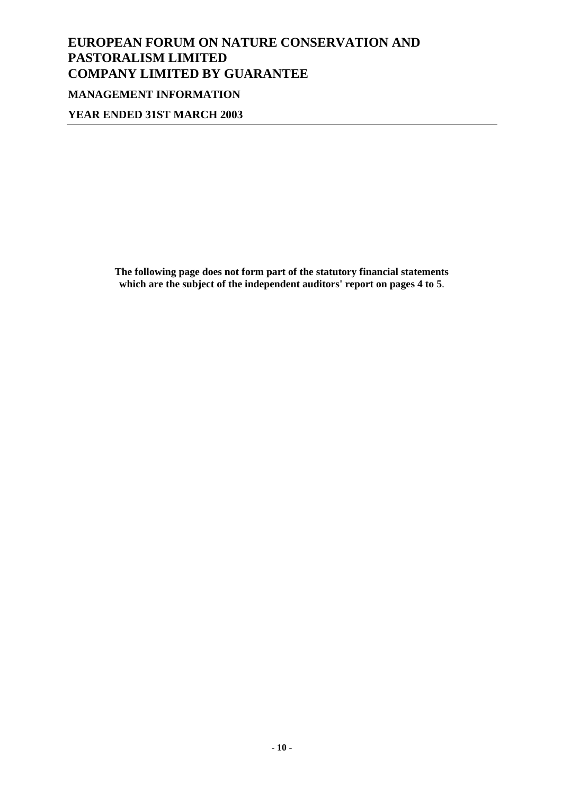# **EUROPEAN FORUM ON NATURE CONSERVATION AND PASTORALISM LIMITED COMPANY LIMITED BY GUARANTEE MANAGEMENT INFORMATION**

**YEAR ENDED 31ST MARCH 2003**

**The following page does not form part of the statutory financial statements which are the subject of the independent auditors' report on pages 4 to 5**.